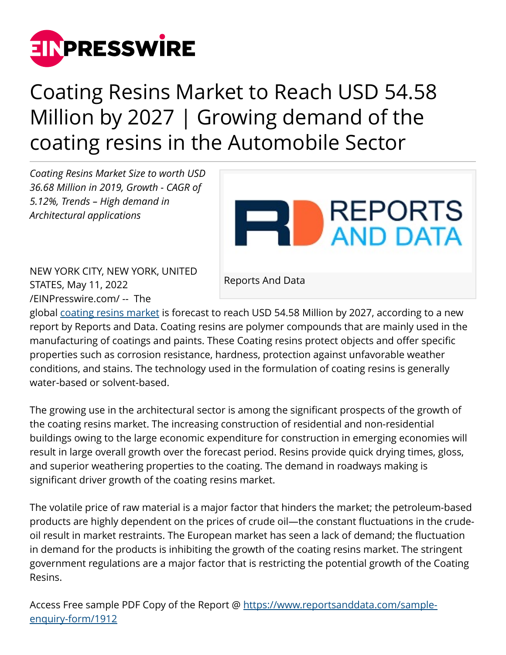

## Coating Resins Market to Reach USD 54.58 Million by 2027 | Growing demand of the coating resins in the Automobile Sector

*Coating Resins Market Size to worth USD 36.68 Million in 2019, Growth - CAGR of 5.12%, Trends – High demand in Architectural applications*



NEW YORK CITY, NEW YORK, UNITED STATES, May 11, 2022 [/EINPresswire.com/](http://www.einpresswire.com) -- The

Reports And Data

global [coating resins market](https://www.reportsanddata.com/report-detail/coating-resins-market) is forecast to reach USD 54.58 Million by 2027, according to a new report by Reports and Data. Coating resins are polymer compounds that are mainly used in the manufacturing of coatings and paints. These Coating resins protect objects and offer specific properties such as corrosion resistance, hardness, protection against unfavorable weather conditions, and stains. The technology used in the formulation of coating resins is generally water-based or solvent-based.

The growing use in the architectural sector is among the significant prospects of the growth of the coating resins market. The increasing construction of residential and non-residential buildings owing to the large economic expenditure for construction in emerging economies will result in large overall growth over the forecast period. Resins provide quick drying times, gloss, and superior weathering properties to the coating. The demand in roadways making is significant driver growth of the coating resins market.

The volatile price of raw material is a major factor that hinders the market; the petroleum-based products are highly dependent on the prices of crude oil—the constant fluctuations in the crudeoil result in market restraints. The European market has seen a lack of demand; the fluctuation in demand for the products is inhibiting the growth of the coating resins market. The stringent government regulations are a major factor that is restricting the potential growth of the Coating Resins.

Access Free sample PDF Copy of the Report @ [https://www.reportsanddata.com/sample](https://www.reportsanddata.com/sample-enquiry-form/1912)[enquiry-form/1912](https://www.reportsanddata.com/sample-enquiry-form/1912)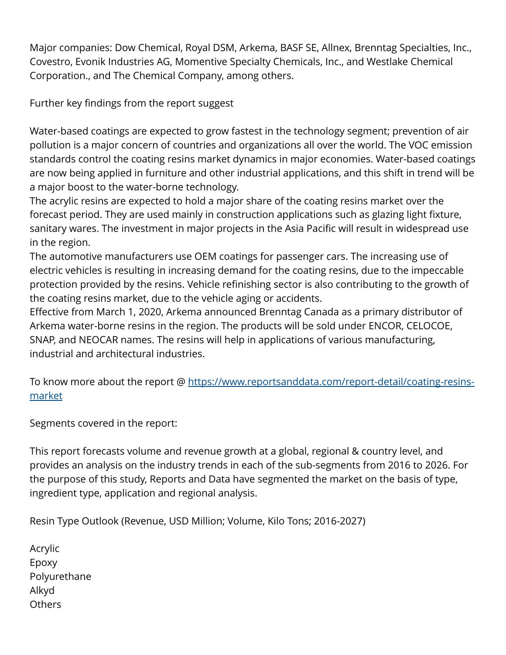Major companies: Dow Chemical, Royal DSM, Arkema, BASF SE, Allnex, Brenntag Specialties, Inc., Covestro, Evonik Industries AG, Momentive Specialty Chemicals, Inc., and Westlake Chemical Corporation., and The Chemical Company, among others.

Further key findings from the report suggest

Water-based coatings are expected to grow fastest in the technology segment; prevention of air pollution is a major concern of countries and organizations all over the world. The VOC emission standards control the coating resins market dynamics in major economies. Water-based coatings are now being applied in furniture and other industrial applications, and this shift in trend will be a major boost to the water-borne technology.

The acrylic resins are expected to hold a major share of the coating resins market over the forecast period. They are used mainly in construction applications such as glazing light fixture, sanitary wares. The investment in major projects in the Asia Pacific will result in widespread use in the region.

The automotive manufacturers use OEM coatings for passenger cars. The increasing use of electric vehicles is resulting in increasing demand for the coating resins, due to the impeccable protection provided by the resins. Vehicle refinishing sector is also contributing to the growth of the coating resins market, due to the vehicle aging or accidents.

Effective from March 1, 2020, Arkema announced Brenntag Canada as a primary distributor of Arkema water-borne resins in the region. The products will be sold under ENCOR, CELOCOE, SNAP, and NEOCAR names. The resins will help in applications of various manufacturing, industrial and architectural industries.

To know more about the report @ [https://www.reportsanddata.com/report-detail/coating-resins](https://www.reportsanddata.com/report-detail/coating-resins-market)[market](https://www.reportsanddata.com/report-detail/coating-resins-market) 

Segments covered in the report:

This report forecasts volume and revenue growth at a global, regional & country level, and provides an analysis on the industry trends in each of the sub-segments from 2016 to 2026. For the purpose of this study, Reports and Data have segmented the market on the basis of type, ingredient type, application and regional analysis.

Resin Type Outlook (Revenue, USD Million; Volume, Kilo Tons; 2016-2027)

Acrylic Epoxy Polyurethane Alkyd Others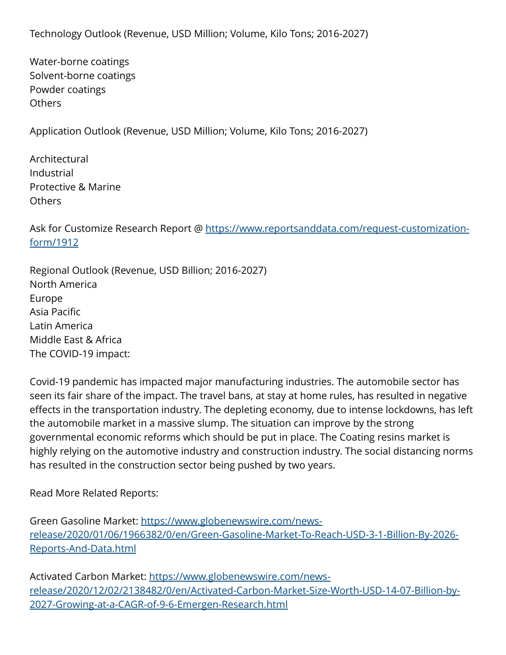Technology Outlook (Revenue, USD Million; Volume, Kilo Tons; 2016-2027)

Water-borne coatings Solvent-borne coatings Powder coatings Others

Application Outlook (Revenue, USD Million; Volume, Kilo Tons; 2016-2027)

Architectural Industrial Protective & Marine **Others** 

Ask for Customize Research Report @ [https://www.reportsanddata.com/request-customization](https://www.reportsanddata.com/request-customization-form/1912)[form/1912](https://www.reportsanddata.com/request-customization-form/1912)

Regional Outlook (Revenue, USD Billion; 2016-2027) North America Europe Asia Pacific Latin America Middle East & Africa The COVID-19 impact:

Covid-19 pandemic has impacted major manufacturing industries. The automobile sector has seen its fair share of the impact. The travel bans, at stay at home rules, has resulted in negative effects in the transportation industry. The depleting economy, due to intense lockdowns, has left the automobile market in a massive slump. The situation can improve by the strong governmental economic reforms which should be put in place. The Coating resins market is highly relying on the automotive industry and construction industry. The social distancing norms has resulted in the construction sector being pushed by two years.

Read More Related Reports:

Green Gasoline Market: [https://www.globenewswire.com/news](https://www.globenewswire.com/news-release/2020/01/06/1966382/0/en/Green-Gasoline-Market-To-Reach-USD-3-1-Billion-By-2026-Reports-And-Data.html)[release/2020/01/06/1966382/0/en/Green-Gasoline-Market-To-Reach-USD-3-1-Billion-By-2026-](https://www.globenewswire.com/news-release/2020/01/06/1966382/0/en/Green-Gasoline-Market-To-Reach-USD-3-1-Billion-By-2026-Reports-And-Data.html) [Reports-And-Data.html](https://www.globenewswire.com/news-release/2020/01/06/1966382/0/en/Green-Gasoline-Market-To-Reach-USD-3-1-Billion-By-2026-Reports-And-Data.html)

Activated Carbon Market: [https://www.globenewswire.com/news](https://www.globenewswire.com/news-release/2020/12/02/2138482/0/en/Activated-Carbon-Market-Size-Worth-USD-14-07-Billion-by-2027-Growing-at-a-CAGR-of-9-6-Emergen-Research.html)[release/2020/12/02/2138482/0/en/Activated-Carbon-Market-Size-Worth-USD-14-07-Billion-by-](https://www.globenewswire.com/news-release/2020/12/02/2138482/0/en/Activated-Carbon-Market-Size-Worth-USD-14-07-Billion-by-2027-Growing-at-a-CAGR-of-9-6-Emergen-Research.html)[2027-Growing-at-a-CAGR-of-9-6-Emergen-Research.html](https://www.globenewswire.com/news-release/2020/12/02/2138482/0/en/Activated-Carbon-Market-Size-Worth-USD-14-07-Billion-by-2027-Growing-at-a-CAGR-of-9-6-Emergen-Research.html)